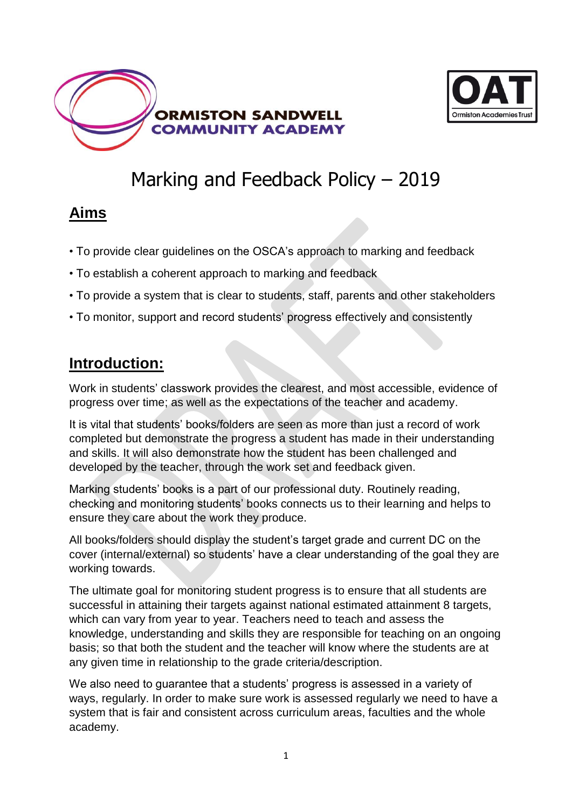



## Marking and Feedback Policy – 2019

### **Aims**

- To provide clear guidelines on the OSCA's approach to marking and feedback
- To establish a coherent approach to marking and feedback
- To provide a system that is clear to students, staff, parents and other stakeholders
- To monitor, support and record students' progress effectively and consistently

### **Introduction:**

Work in students' classwork provides the clearest, and most accessible, evidence of progress over time; as well as the expectations of the teacher and academy.

It is vital that students' books/folders are seen as more than just a record of work completed but demonstrate the progress a student has made in their understanding and skills. It will also demonstrate how the student has been challenged and developed by the teacher, through the work set and feedback given.

Marking students' books is a part of our professional duty. Routinely reading, checking and monitoring students' books connects us to their learning and helps to ensure they care about the work they produce.

All books/folders should display the student's target grade and current DC on the cover (internal/external) so students' have a clear understanding of the goal they are working towards.

The ultimate goal for monitoring student progress is to ensure that all students are successful in attaining their targets against national estimated attainment 8 targets, which can vary from year to year. Teachers need to teach and assess the knowledge, understanding and skills they are responsible for teaching on an ongoing basis; so that both the student and the teacher will know where the students are at any given time in relationship to the grade criteria/description.

We also need to guarantee that a students' progress is assessed in a variety of ways, regularly. In order to make sure work is assessed regularly we need to have a system that is fair and consistent across curriculum areas, faculties and the whole academy.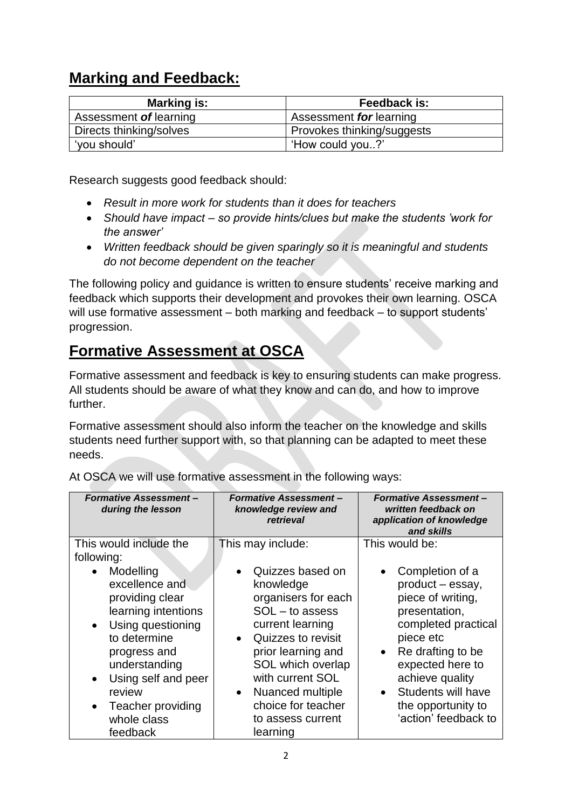### **Marking and Feedback:**

| <b>Marking is:</b>      | Feedback is:               |
|-------------------------|----------------------------|
| Assessment of learning  | Assessment for learning    |
| Directs thinking/solves | Provokes thinking/suggests |
| 'you should'            | "How could you?"           |

Research suggests good feedback should:

- *Result in more work for students than it does for teachers*
- *Should have impact – so provide hints/clues but make the students 'work for the answer'*
- *Written feedback should be given sparingly so it is meaningful and students do not become dependent on the teacher*

The following policy and guidance is written to ensure students' receive marking and feedback which supports their development and provokes their own learning. OSCA will use formative assessment – both marking and feedback – to support students' progression.

### **Formative Assessment at OSCA**

Formative assessment and feedback is key to ensuring students can make progress. All students should be aware of what they know and can do, and how to improve further.

Formative assessment should also inform the teacher on the knowledge and skills students need further support with, so that planning can be adapted to meet these needs.

| <b>Formative Assessment-</b><br>during the lesson                                                                                                                                                                                                                   | <b>Formative Assessment-</b><br>knowledge review and<br>retrieval                                                                                                                                                                                                                       | <b>Formative Assessment-</b><br>written feedback on<br>application of knowledge<br>and skills                                                                                                                                                                           |
|---------------------------------------------------------------------------------------------------------------------------------------------------------------------------------------------------------------------------------------------------------------------|-----------------------------------------------------------------------------------------------------------------------------------------------------------------------------------------------------------------------------------------------------------------------------------------|-------------------------------------------------------------------------------------------------------------------------------------------------------------------------------------------------------------------------------------------------------------------------|
| This would include the<br>following:                                                                                                                                                                                                                                | This may include:                                                                                                                                                                                                                                                                       | This would be:                                                                                                                                                                                                                                                          |
| Modelling<br>excellence and<br>providing clear<br>learning intentions<br>Using questioning<br>$\bullet$<br>to determine<br>progress and<br>understanding<br>Using self and peer<br>$\bullet$<br>review<br>Teacher providing<br>$\bullet$<br>whole class<br>feedback | Quizzes based on<br>knowledge<br>organisers for each<br>$SOL - to assess$<br>current learning<br>Quizzes to revisit<br>$\bullet$<br>prior learning and<br>SOL which overlap<br>with current SOL<br>Nuanced multiple<br>$\bullet$<br>choice for teacher<br>to assess current<br>learning | Completion of a<br>product - essay,<br>piece of writing,<br>presentation,<br>completed practical<br>piece etc<br>Re drafting to be<br>$\bullet$<br>expected here to<br>achieve quality<br>Students will have<br>$\bullet$<br>the opportunity to<br>'action' feedback to |

At OSCA we will use formative assessment in the following ways: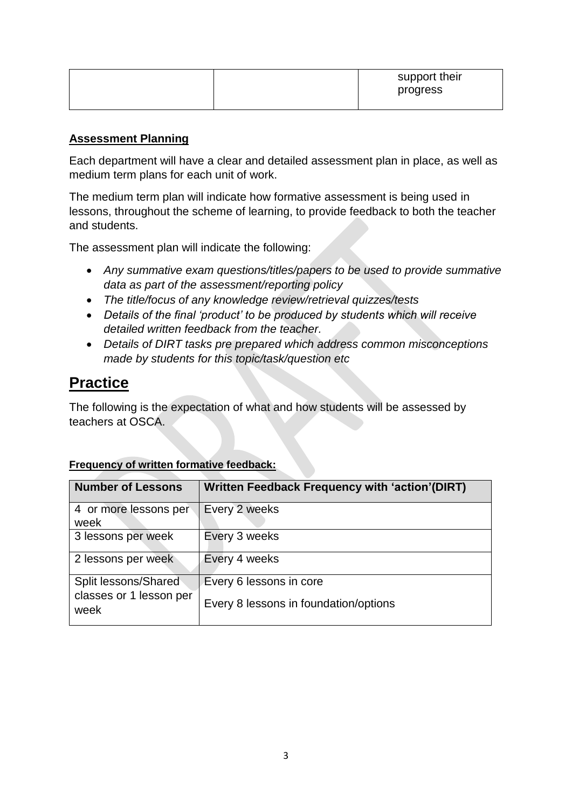|  | support their<br>progress |
|--|---------------------------|
|--|---------------------------|

#### **Assessment Planning**

Each department will have a clear and detailed assessment plan in place, as well as medium term plans for each unit of work.

The medium term plan will indicate how formative assessment is being used in lessons, throughout the scheme of learning, to provide feedback to both the teacher and students.

The assessment plan will indicate the following:

- *Any summative exam questions/titles/papers to be used to provide summative data as part of the assessment/reporting policy*
- *The title/focus of any knowledge review/retrieval quizzes/tests*
- *Details of the final 'product' to be produced by students which will receive detailed written feedback from the teacher.*
- *Details of DIRT tasks pre prepared which address common misconceptions made by students for this topic/task/question etc*

### **Practice**

The following is the expectation of what and how students will be assessed by teachers at OSCA.

| <b>Written Feedback Frequency with 'action'(DIRT)</b>            |
|------------------------------------------------------------------|
| Every 2 weeks                                                    |
| Every 3 weeks                                                    |
| Every 4 weeks                                                    |
| Every 6 lessons in core<br>Every 8 lessons in foundation/options |
|                                                                  |

#### **Frequency of written formative feedback:**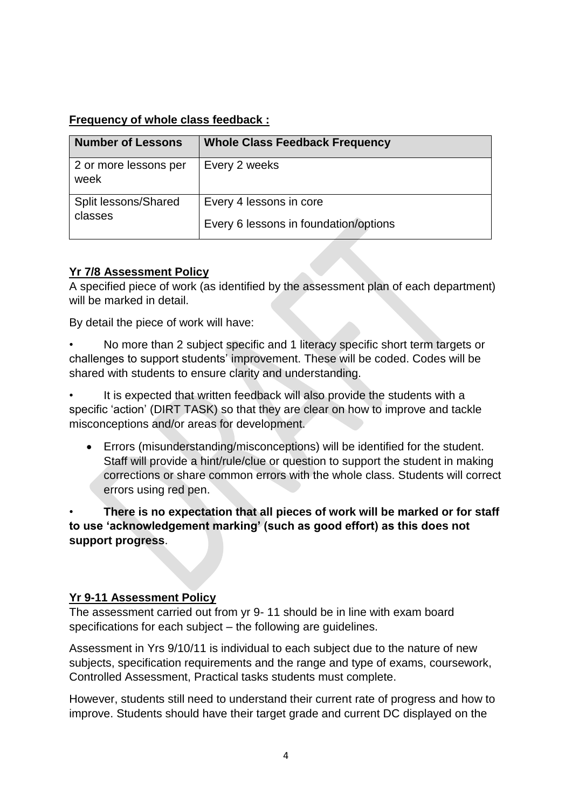### **Frequency of whole class feedback :**

| <b>Number of Lessons</b>        | <b>Whole Class Feedback Frequency</b>                            |
|---------------------------------|------------------------------------------------------------------|
| 2 or more lessons per<br>week   | Every 2 weeks                                                    |
| Split lessons/Shared<br>classes | Every 4 lessons in core<br>Every 6 lessons in foundation/options |

### **Yr 7/8 Assessment Policy**

A specified piece of work (as identified by the assessment plan of each department) will be marked in detail.

By detail the piece of work will have:

• No more than 2 subject specific and 1 literacy specific short term targets or challenges to support students' improvement. These will be coded. Codes will be shared with students to ensure clarity and understanding.

It is expected that written feedback will also provide the students with a specific 'action' (DIRT TASK) so that they are clear on how to improve and tackle misconceptions and/or areas for development.

 Errors (misunderstanding/misconceptions) will be identified for the student. Staff will provide a hint/rule/clue or question to support the student in making corrections or share common errors with the whole class. Students will correct errors using red pen.

• **There is no expectation that all pieces of work will be marked or for staff to use 'acknowledgement marking' (such as good effort) as this does not support progress**.

### **Yr 9-11 Assessment Policy**

The assessment carried out from yr 9- 11 should be in line with exam board specifications for each subject – the following are guidelines.

Assessment in Yrs 9/10/11 is individual to each subject due to the nature of new subjects, specification requirements and the range and type of exams, coursework, Controlled Assessment, Practical tasks students must complete.

However, students still need to understand their current rate of progress and how to improve. Students should have their target grade and current DC displayed on the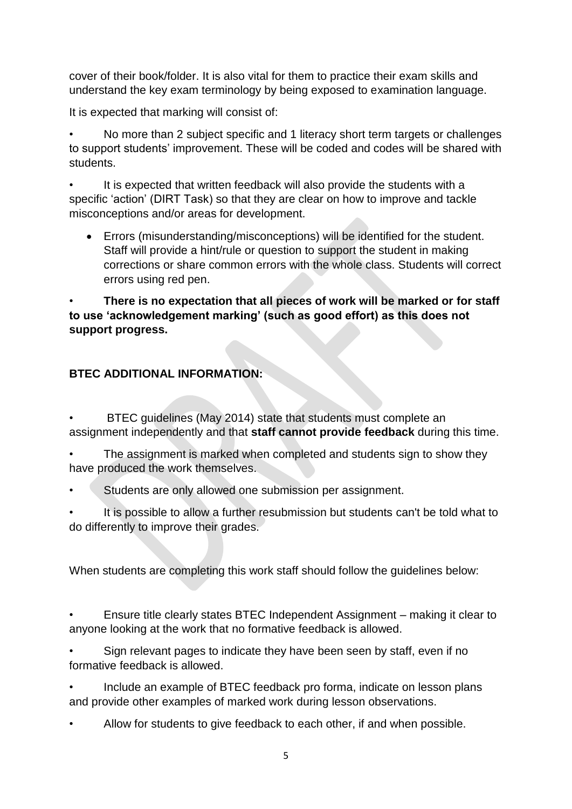cover of their book/folder. It is also vital for them to practice their exam skills and understand the key exam terminology by being exposed to examination language.

It is expected that marking will consist of:

• No more than 2 subject specific and 1 literacy short term targets or challenges to support students' improvement. These will be coded and codes will be shared with students.

It is expected that written feedback will also provide the students with a specific 'action' (DIRT Task) so that they are clear on how to improve and tackle misconceptions and/or areas for development.

 Errors (misunderstanding/misconceptions) will be identified for the student. Staff will provide a hint/rule or question to support the student in making corrections or share common errors with the whole class. Students will correct errors using red pen.

#### • **There is no expectation that all pieces of work will be marked or for staff to use 'acknowledgement marking' (such as good effort) as this does not support progress.**

#### **BTEC ADDITIONAL INFORMATION:**

• BTEC guidelines (May 2014) state that students must complete an assignment independently and that **staff cannot provide feedback** during this time.

The assignment is marked when completed and students sign to show they have produced the work themselves.

Students are only allowed one submission per assignment.

It is possible to allow a further resubmission but students can't be told what to do differently to improve their grades.

When students are completing this work staff should follow the guidelines below:

• Ensure title clearly states BTEC Independent Assignment – making it clear to anyone looking at the work that no formative feedback is allowed.

Sign relevant pages to indicate they have been seen by staff, even if no formative feedback is allowed.

• Include an example of BTEC feedback pro forma, indicate on lesson plans and provide other examples of marked work during lesson observations.

• Allow for students to give feedback to each other, if and when possible.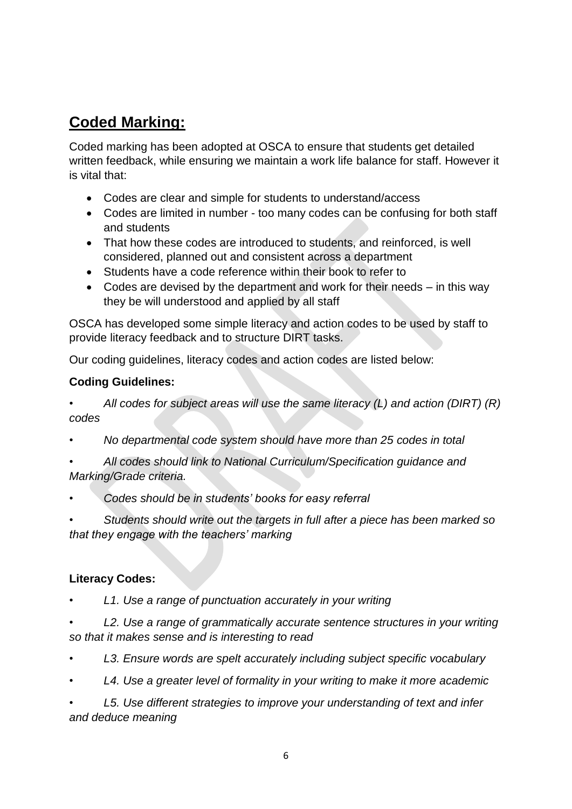### **Coded Marking:**

Coded marking has been adopted at OSCA to ensure that students get detailed written feedback, while ensuring we maintain a work life balance for staff. However it is vital that:

- Codes are clear and simple for students to understand/access
- Codes are limited in number too many codes can be confusing for both staff and students
- That how these codes are introduced to students, and reinforced, is well considered, planned out and consistent across a department
- Students have a code reference within their book to refer to
- Codes are devised by the department and work for their needs in this way they be will understood and applied by all staff

OSCA has developed some simple literacy and action codes to be used by staff to provide literacy feedback and to structure DIRT tasks.

Our coding guidelines, literacy codes and action codes are listed below:

#### **Coding Guidelines:**

*• All codes for subject areas will use the same literacy (L) and action (DIRT) (R) codes*

- *• No departmental code system should have more than 25 codes in total*
- *• All codes should link to National Curriculum/Specification guidance and Marking/Grade criteria.*
- *• Codes should be in students' books for easy referral*

*• Students should write out the targets in full after a piece has been marked so that they engage with the teachers' marking*

### **Literacy Codes:**

- *L1. Use a range of punctuation accurately in your writing*
- *• L2. Use a range of grammatically accurate sentence structures in your writing so that it makes sense and is interesting to read*
- *• L3. Ensure words are spelt accurately including subject specific vocabulary*
- *• L4. Use a greater level of formality in your writing to make it more academic*

*• L5. Use different strategies to improve your understanding of text and infer and deduce meaning*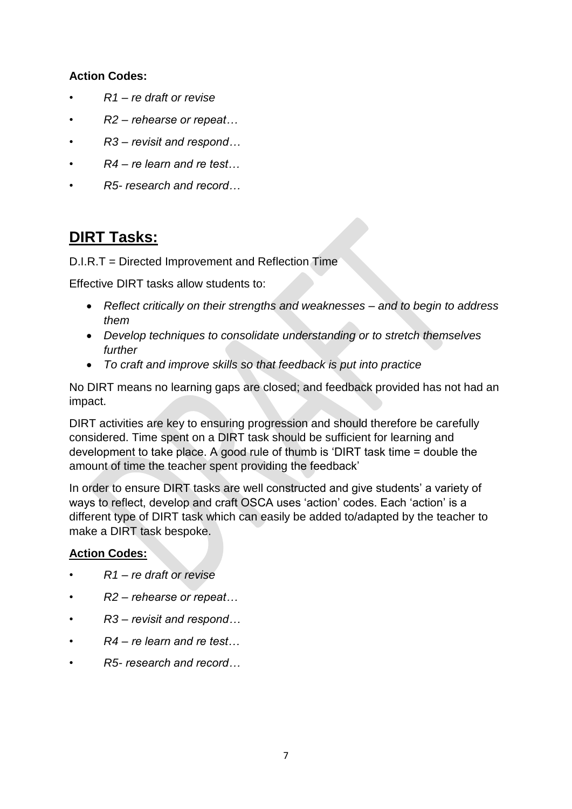#### **Action Codes:**

- *• R1 – re draft or revise*
- *• R2 – rehearse or repeat…*
- *• R3 – revisit and respond…*
- *• R4 – re learn and re test…*
- *• R5- research and record…*

### **DIRT Tasks:**

D.I.R.T = Directed Improvement and Reflection Time

Effective DIRT tasks allow students to:

- *Reflect critically on their strengths and weaknesses – and to begin to address them*
- *Develop techniques to consolidate understanding or to stretch themselves further*
- *To craft and improve skills so that feedback is put into practice*

No DIRT means no learning gaps are closed; and feedback provided has not had an impact.

DIRT activities are key to ensuring progression and should therefore be carefully considered. Time spent on a DIRT task should be sufficient for learning and development to take place. A good rule of thumb is 'DIRT task time = double the amount of time the teacher spent providing the feedback'

In order to ensure DIRT tasks are well constructed and give students' a variety of ways to reflect, develop and craft OSCA uses 'action' codes. Each 'action' is a different type of DIRT task which can easily be added to/adapted by the teacher to make a DIRT task bespoke.

#### **Action Codes:**

- *R1 – re draft or revise*
- *• R2 – rehearse or repeat…*
- *• R3 – revisit and respond…*
- *• R4 – re learn and re test…*
- *• R5- research and record…*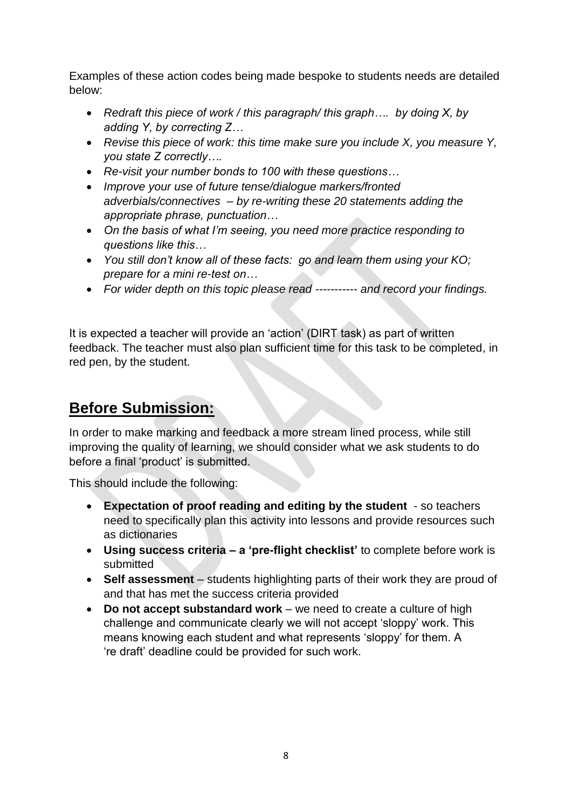Examples of these action codes being made bespoke to students needs are detailed below:

- *Redraft this piece of work / this paragraph/ this graph…. by doing X, by adding Y, by correcting Z…*
- *Revise this piece of work: this time make sure you include X, you measure Y, you state Z correctly….*
- *Re-visit your number bonds to 100 with these questions…*
- *Improve your use of future tense/dialogue markers/fronted adverbials/connectives – by re-writing these 20 statements adding the appropriate phrase, punctuation…*
- *On the basis of what I'm seeing, you need more practice responding to questions like this…*
- *You still don't know all of these facts: go and learn them using your KO; prepare for a mini re-test on…*
- *For wider depth on this topic please read ----------- and record your findings.*

It is expected a teacher will provide an 'action' (DIRT task) as part of written feedback. The teacher must also plan sufficient time for this task to be completed, in red pen, by the student.

### **Before Submission:**

In order to make marking and feedback a more stream lined process, while still improving the quality of learning, we should consider what we ask students to do before a final 'product' is submitted.

This should include the following:

- **Expectation of proof reading and editing by the student** so teachers need to specifically plan this activity into lessons and provide resources such as dictionaries
- **Using success criteria – a 'pre-flight checklist'** to complete before work is submitted
- **Self assessment** students highlighting parts of their work they are proud of and that has met the success criteria provided
- **Do not accept substandard work** we need to create a culture of high challenge and communicate clearly we will not accept 'sloppy' work. This means knowing each student and what represents 'sloppy' for them. A 're draft' deadline could be provided for such work.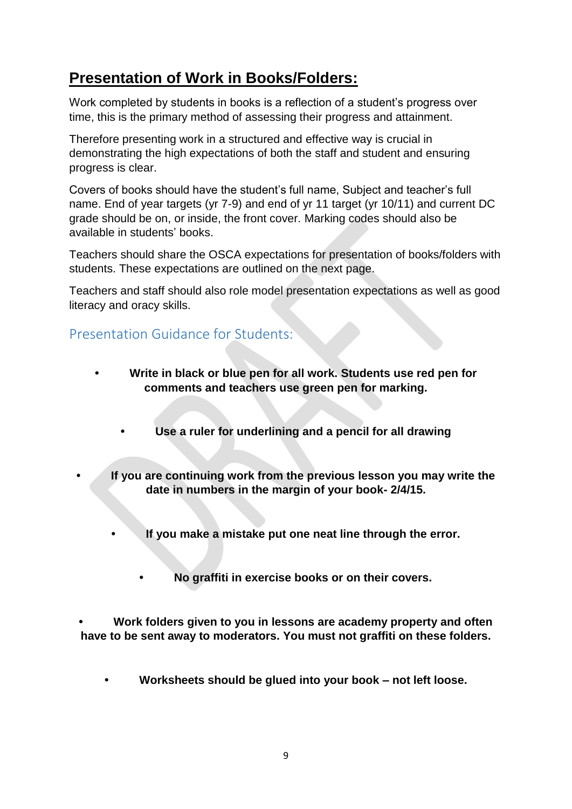### **Presentation of Work in Books/Folders:**

Work completed by students in books is a reflection of a student's progress over time, this is the primary method of assessing their progress and attainment.

Therefore presenting work in a structured and effective way is crucial in demonstrating the high expectations of both the staff and student and ensuring progress is clear.

Covers of books should have the student's full name, Subject and teacher's full name. End of year targets (yr 7-9) and end of yr 11 target (yr 10/11) and current DC grade should be on, or inside, the front cover. Marking codes should also be available in students' books.

Teachers should share the OSCA expectations for presentation of books/folders with students. These expectations are outlined on the next page.

Teachers and staff should also role model presentation expectations as well as good literacy and oracy skills.

### Presentation Guidance for Students:

- **• Write in black or blue pen for all work. Students use red pen for comments and teachers use green pen for marking.**
	- **• Use a ruler for underlining and a pencil for all drawing**
- **• If you are continuing work from the previous lesson you may write the date in numbers in the margin of your book- 2/4/15.**
	- **• If you make a mistake put one neat line through the error.**
	- **• No graffiti in exercise books or on their covers.**

**• Work folders given to you in lessons are academy property and often have to be sent away to moderators. You must not graffiti on these folders.**

**• Worksheets should be glued into your book – not left loose.**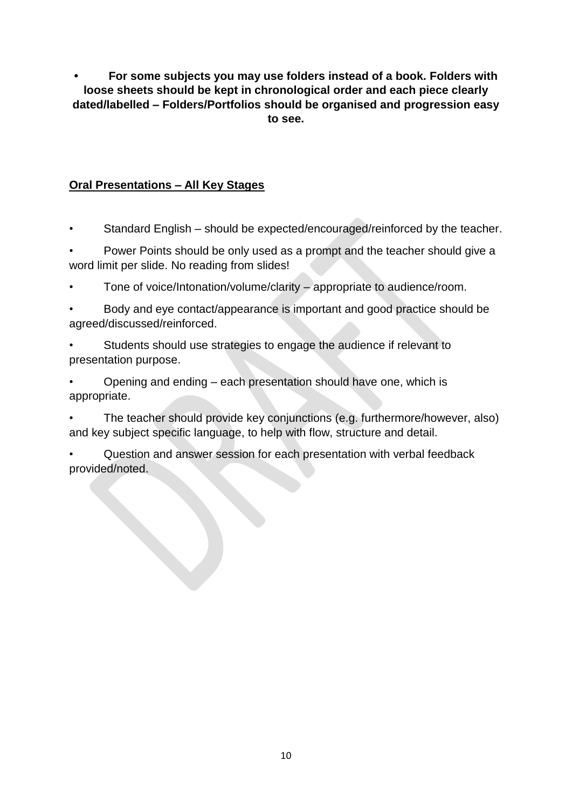**• For some subjects you may use folders instead of a book. Folders with loose sheets should be kept in chronological order and each piece clearly dated/labelled – Folders/Portfolios should be organised and progression easy to see.**

### **Oral Presentations – All Key Stages**

• Standard English – should be expected/encouraged/reinforced by the teacher.

- Power Points should be only used as a prompt and the teacher should give a word limit per slide. No reading from slides!
- Tone of voice/Intonation/volume/clarity appropriate to audience/room.
- Body and eye contact/appearance is important and good practice should be agreed/discussed/reinforced.
- Students should use strategies to engage the audience if relevant to presentation purpose.
- Opening and ending each presentation should have one, which is appropriate.

• The teacher should provide key conjunctions (e.g. furthermore/however, also) and key subject specific language, to help with flow, structure and detail.

• Question and answer session for each presentation with verbal feedback provided/noted.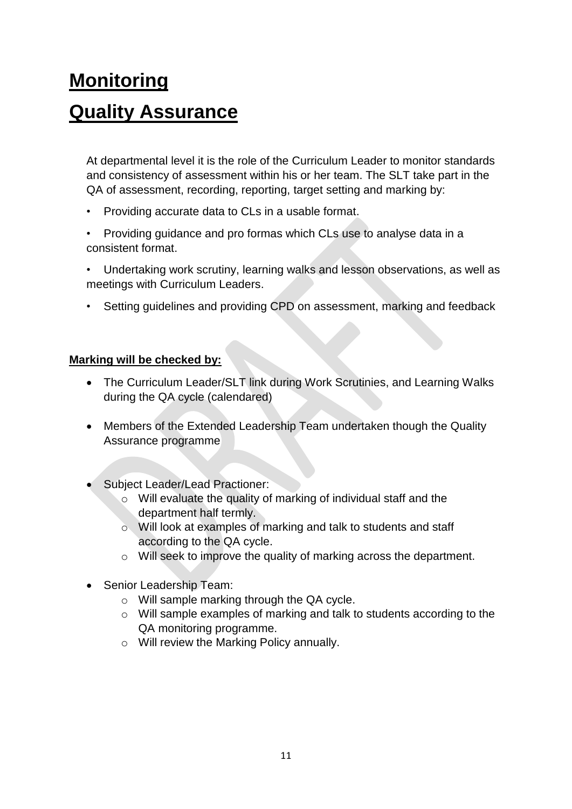# **Monitoring Quality Assurance**

At departmental level it is the role of the Curriculum Leader to monitor standards and consistency of assessment within his or her team. The SLT take part in the QA of assessment, recording, reporting, target setting and marking by:

- Providing accurate data to CLs in a usable format.
- Providing guidance and pro formas which CLs use to analyse data in a consistent format.
- Undertaking work scrutiny, learning walks and lesson observations, as well as meetings with Curriculum Leaders.
- Setting guidelines and providing CPD on assessment, marking and feedback

#### **Marking will be checked by:**

- The Curriculum Leader/SLT link during Work Scrutinies, and Learning Walks during the QA cycle (calendared)
- Members of the Extended Leadership Team undertaken though the Quality Assurance programme
- Subject Leader/Lead Practioner:
	- o Will evaluate the quality of marking of individual staff and the department half termly.
	- o Will look at examples of marking and talk to students and staff according to the QA cycle.
	- o Will seek to improve the quality of marking across the department.
- Senior Leadership Team:
	- o Will sample marking through the QA cycle.
	- o Will sample examples of marking and talk to students according to the QA monitoring programme.
	- o Will review the Marking Policy annually.